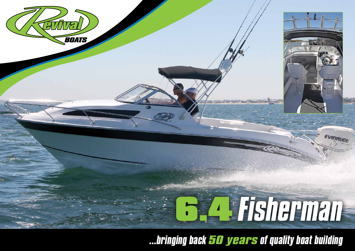

*...bringing back 50 years of quality boat building*